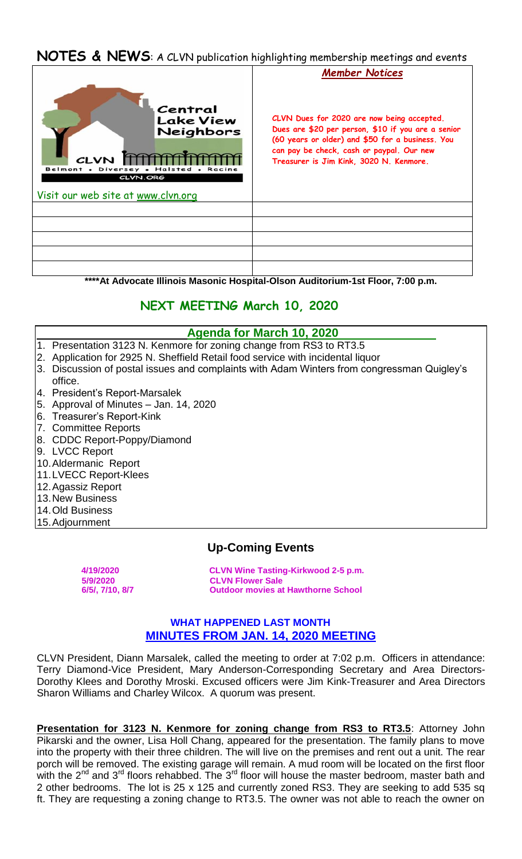## **NOTES & NEWS**: A CLVN publication highlighting membership meetings and events



**\*\*\*\*At Advocate Illinois Masonic Hospital-Olson Auditorium-1st Floor, 7:00 p.m.**

# **NEXT MEETING March 10, 2020**

### **Agenda for March 10, 2020**

- 1. Presentation 3123 N. Kenmore for zoning change from RS3 to RT3.5
- 2. Application for 2925 N. Sheffield Retail food service with incidental liquor
- 3. Discussion of postal issues and complaints with Adam Winters from congressman Quigley's
- office. 4. President's Report-Marsalek
- 5. Approval of Minutes Jan. 14, 2020
- 
- 6. Treasurer's Report-Kink
- 7. Committee Reports
- 8. CDDC Report-Poppy/Diamond
- 9. LVCC Report
- 10.Aldermanic Report
- 11.LVECC Report-Klees
- 12.Agassiz Report
- 13.New Business
- 14.Old Business
- 15.Adjournment

## **Up-Coming Events**

 **4/19/2020 CLVN Wine Tasting-Kirkwood 2-5 p.m. 5/9/2020 CLVN Flower Sale Outdoor movies at Hawthorne School** 

### **WHAT HAPPENED LAST MONTH MINUTES FROM JAN. 14, 2020 MEETING**

CLVN President, Diann Marsalek, called the meeting to order at 7:02 p.m. Officers in attendance: Terry Diamond-Vice President, Mary Anderson-Corresponding Secretary and Area Directors-Dorothy Klees and Dorothy Mroski. Excused officers were Jim Kink-Treasurer and Area Directors Sharon Williams and Charley Wilcox. A quorum was present.

**Presentation for 3123 N. Kenmore for zoning change from RS3 to RT3.5:** Attorney John Pikarski and the owner, Lisa Holl Chang, appeared for the presentation. The family plans to move into the property with their three children. The will live on the premises and rent out a unit. The rear porch will be removed. The existing garage will remain. A mud room will be located on the first floor with the  $2^{nd}$  and  $3^{rd}$  floors rehabbed. The  $3^{rd}$  floor will house the master bedroom, master bath and 2 other bedrooms. The lot is 25 x 125 and currently zoned RS3. They are seeking to add 535 sq ft. They are requesting a zoning change to RT3.5. The owner was not able to reach the owner on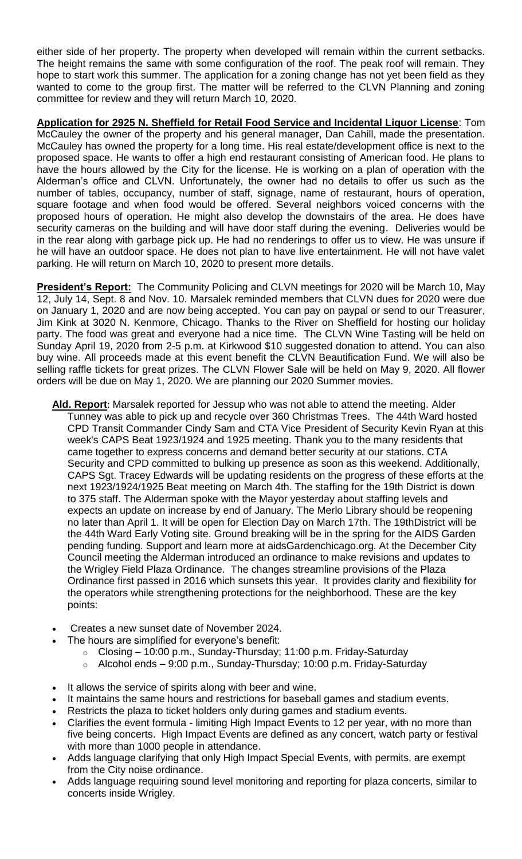either side of her property. The property when developed will remain within the current setbacks. The height remains the same with some configuration of the roof. The peak roof will remain. They hope to start work this summer. The application for a zoning change has not yet been field as they wanted to come to the group first. The matter will be referred to the CLVN Planning and zoning committee for review and they will return March 10, 2020.

**Application for 2925 N. Sheffield for Retail Food Service and Incidental Liquor License**: Tom McCauley the owner of the property and his general manager, Dan Cahill, made the presentation. McCauley has owned the property for a long time. His real estate/development office is next to the proposed space. He wants to offer a high end restaurant consisting of American food. He plans to have the hours allowed by the City for the license. He is working on a plan of operation with the Alderman's office and CLVN. Unfortunately, the owner had no details to offer us such as the number of tables, occupancy, number of staff, signage, name of restaurant, hours of operation, square footage and when food would be offered. Several neighbors voiced concerns with the proposed hours of operation. He might also develop the downstairs of the area. He does have security cameras on the building and will have door staff during the evening. Deliveries would be in the rear along with garbage pick up. He had no renderings to offer us to view. He was unsure if he will have an outdoor space. He does not plan to have live entertainment. He will not have valet parking. He will return on March 10, 2020 to present more details.

**President's Report:** The Community Policing and CLVN meetings for 2020 will be March 10, May 12, July 14, Sept. 8 and Nov. 10. Marsalek reminded members that CLVN dues for 2020 were due on January 1, 2020 and are now being accepted. You can pay on paypal or send to our Treasurer, Jim Kink at 3020 N. Kenmore, Chicago. Thanks to the River on Sheffield for hosting our holiday party. The food was great and everyone had a nice time. The CLVN Wine Tasting will be held on Sunday April 19, 2020 from 2-5 p.m. at Kirkwood \$10 suggested donation to attend. You can also buy wine. All proceeds made at this event benefit the CLVN Beautification Fund. We will also be selling raffle tickets for great prizes. The CLVN Flower Sale will be held on May 9, 2020. All flower orders will be due on May 1, 2020. We are planning our 2020 Summer movies.

- **Ald. Report**: Marsalek reported for Jessup who was not able to attend the meeting. Alder Tunney was able to pick up and recycle over 360 Christmas Trees. The 44th Ward hosted CPD Transit Commander Cindy Sam and CTA Vice President of Security Kevin Ryan at this week's CAPS Beat 1923/1924 and 1925 meeting. Thank you to the many residents that came together to express concerns and demand better security at our stations. CTA Security and CPD committed to bulking up presence as soon as this weekend. Additionally, CAPS Sgt. Tracey Edwards will be updating residents on the progress of these efforts at the next 1923/1924/1925 Beat meeting on March 4th. The staffing for the 19th District is down to 375 staff. The Alderman spoke with the Mayor yesterday about staffing levels and expects an update on increase by end of January. The Merlo Library should be reopening no later than April 1. It will be open for Election Day on March 17th. The 19thDistrict will be the 44th Ward Early Voting site. Ground breaking will be in the spring for the AIDS Garden pending funding. Support and learn more at aidsGardenchicago.org. At the December City Council meeting the Alderman introduced an ordinance to make revisions and updates to the Wrigley Field Plaza Ordinance. The changes streamline provisions of the Plaza Ordinance first passed in 2016 which sunsets this year. It provides clarity and flexibility for the operators while strengthening protections for the neighborhood. These are the key points:
- Creates a new sunset date of November 2024.
	- The hours are simplified for everyone's benefit:
		- o Closing 10:00 p.m., Sunday-Thursday; 11:00 p.m. Friday-Saturday
		- o Alcohol ends 9:00 p.m., Sunday-Thursday; 10:00 p.m. Friday-Saturday
- It allows the service of spirits along with beer and wine.
- It maintains the same hours and restrictions for baseball games and stadium events.
- Restricts the plaza to ticket holders only during games and stadium events.
- Clarifies the event formula limiting High Impact Events to 12 per year, with no more than five being concerts. High Impact Events are defined as any concert, watch party or festival with more than 1000 people in attendance.
- Adds language clarifying that only High Impact Special Events, with permits, are exempt from the City noise ordinance.
- Adds language requiring sound level monitoring and reporting for plaza concerts, similar to concerts inside Wrigley.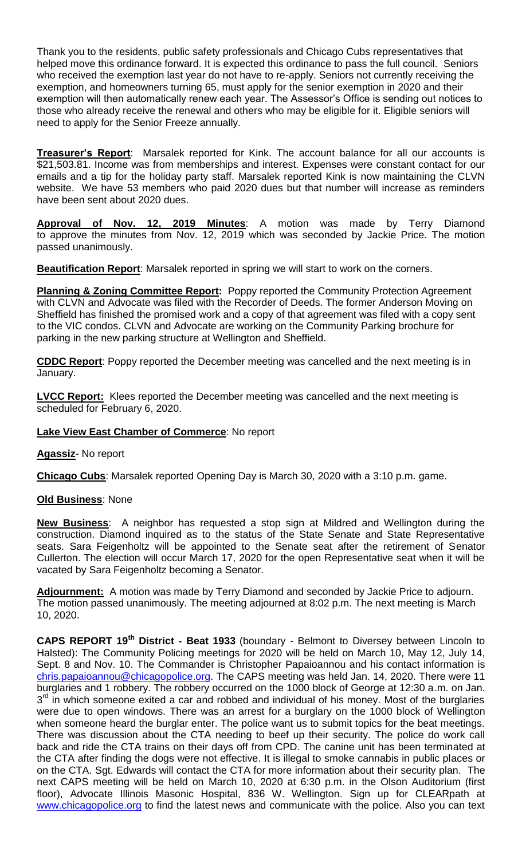Thank you to the residents, public safety professionals and Chicago Cubs representatives that helped move this ordinance forward. It is expected this ordinance to pass the full council. Seniors who received the exemption last year do not have to re-apply. Seniors not currently receiving the exemption, and homeowners turning 65, must apply for the senior exemption in 2020 and their exemption will then automatically renew each year. The Assessor's Office is sending out notices to those who already receive the renewal and others who may be eligible for it. Eligible seniors will need to apply for the Senior Freeze annually.

**Treasurer's Report**: Marsalek reported for Kink. The account balance for all our accounts is \$21,503.81. Income was from memberships and interest. Expenses were constant contact for our emails and a tip for the holiday party staff. Marsalek reported Kink is now maintaining the CLVN website. We have 53 members who paid 2020 dues but that number will increase as reminders have been sent about 2020 dues.

**Approval of Nov. 12, 2019 Minutes**: A motion was made by Terry Diamond to approve the minutes from Nov. 12, 2019 which was seconded by Jackie Price. The motion passed unanimously.

**Beautification Report**: Marsalek reported in spring we will start to work on the corners.

**Planning & Zoning Committee Report:** Poppy reported the Community Protection Agreement with CLVN and Advocate was filed with the Recorder of Deeds. The former Anderson Moving on Sheffield has finished the promised work and a copy of that agreement was filed with a copy sent to the VIC condos. CLVN and Advocate are working on the Community Parking brochure for parking in the new parking structure at Wellington and Sheffield.

**CDDC Report**: Poppy reported the December meeting was cancelled and the next meeting is in January.

**LVCC Report:** Klees reported the December meeting was cancelled and the next meeting is scheduled for February 6, 2020.

#### **Lake View East Chamber of Commerce**: No report

**Agassiz**- No report

**Chicago Cubs**: Marsalek reported Opening Day is March 30, 2020 with a 3:10 p.m. game.

#### **Old Business**: None

**New Business**: A neighbor has requested a stop sign at Mildred and Wellington during the construction. Diamond inquired as to the status of the State Senate and State Representative seats. Sara Feigenholtz will be appointed to the Senate seat after the retirement of Senator Cullerton. The election will occur March 17, 2020 for the open Representative seat when it will be vacated by Sara Feigenholtz becoming a Senator.

**Adjournment:** A motion was made by Terry Diamond and seconded by Jackie Price to adjourn. The motion passed unanimously. The meeting adjourned at 8:02 p.m. The next meeting is March 10, 2020.

**CAPS REPORT 19th District - Beat 1933** (boundary - Belmont to Diversey between Lincoln to Halsted): The Community Policing meetings for 2020 will be held on March 10, May 12, July 14, Sept. 8 and Nov. 10. The Commander is Christopher Papaioannou and his contact information is chris.papaioannou@chicagopolice.org. The CAPS meeting was held Jan. 14, 2020. There were 11 burglaries and 1 robbery. The robbery occurred on the 1000 block of George at 12:30 a.m. on Jan.  $3<sup>rd</sup>$  in which someone exited a car and robbed and individual of his money. Most of the burglaries were due to open windows. There was an arrest for a burglary on the 1000 block of Wellington when someone heard the burglar enter. The police want us to submit topics for the beat meetings. There was discussion about the CTA needing to beef up their security. The police do work call back and ride the CTA trains on their days off from CPD. The canine unit has been terminated at the CTA after finding the dogs were not effective. It is illegal to smoke cannabis in public places or on the CTA. Sgt. Edwards will contact the CTA for more information about their security plan. The next CAPS meeting will be held on March 10, 2020 at 6:30 p.m. in the Olson Auditorium (first floor), Advocate Illinois Masonic Hospital, 836 W. Wellington. Sign up for CLEARpath at www.chicagopolice.org to find the latest news and communicate with the police. Also you can text